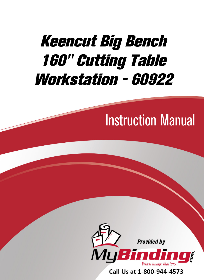# Keencut Big Bench [160" Cutting Table](https://www.mybinding.com/foster-keencut-big-bench-160-cutting-table-workstation-60922.html)  Workstation - 60922

# Instruction Manual



Call Us at 1-800-944-4573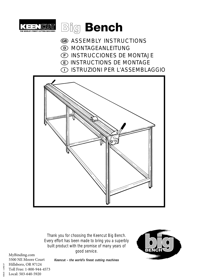



- **68 ASSEMBLY INSTRUCTIONS**
- MONTAGEANLEITUNG
- INSTRUCCIONES DE MONTAJE
- INSTRUCTIONS DE MONTAGE
- ISTRUZIONI PER L'ASSEMBLAGGIO



Thank you for choosing the Keencut Big Bench. Every effort has been made to bring you a superbly built product with the promise of many years of good service.



[MyBinding.com](http://www.mybinding.com) 5500 NE Moore Court Hillsboro, OR 97124 Toll Free: 1-800-944-4573 Local: 503-640-5920

*Keencut – the world's finest cutting machines*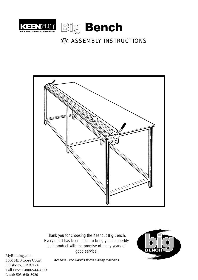



## **68 ASSEMBLY INSTRUCTIONS**



Thank you for choosing the Keencut Big Bench. Every effort has been made to bring you a superbly built product with the promise of many years of good service.



[MyBinding.com](http://www.mybinding.com) 5500 NE Moore Court Hillsboro, OR 97124 Toll Free: 1-800-944-4573 Local: 503-640-5920

*Keencut – the world's finest cutting machines*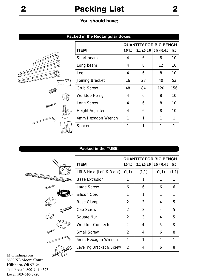# **2 Packing List 2**

## **You should have;**

## **Packed in the Rectangular Boxes:**

|                  |       |                    | <b>QUANTITY FOR BIG BENCH</b> |               |               |                 |  |  |
|------------------|-------|--------------------|-------------------------------|---------------|---------------|-----------------|--|--|
|                  |       | <b>ITEM</b>        | 1.0, 1.5                      | 2.0, 2.5, 3.0 | 3.5, 4.0, 4.5 | 5.0             |  |  |
|                  |       | Short beam         | 4                             | 6             | 8             | 10 <sup>1</sup> |  |  |
|                  |       | Long beam          | 4                             | 8             | 12            | 16              |  |  |
|                  |       | Leg                | 4                             | 6             | 8             | 10 <sup>°</sup> |  |  |
| <b>City</b>      |       | Joining Bracket    | 16                            | 28            | 40            | 52              |  |  |
|                  |       | <b>Grub Screw</b>  | 48                            | 84            | 120           | 156             |  |  |
|                  | ط∱ًة. | Worktop Fixing     | $\overline{4}$                | 6             | 8             | 10 <sup>1</sup> |  |  |
| <b>COMMUNITY</b> |       | Long Screw         | 4                             | 6             | 8             | 10 <sup>°</sup> |  |  |
|                  |       | Height Adjuster    | 4                             | 6             | 8             | 10 <sup>°</sup> |  |  |
|                  |       | 4mm Hexagon Wrench | 1                             | 1             | 1             | 1               |  |  |
|                  |       | Spacer             | 1                             | 1             | $\mathbf{1}$  | 1               |  |  |
|                  |       |                    |                               |               |               |                 |  |  |

## **Packed in the TUBE:**

|          |                            | <b>QUANTITY FOR BIG BENCH</b> |               |               |        |  |  |
|----------|----------------------------|-------------------------------|---------------|---------------|--------|--|--|
|          | <b>ITEM</b>                | 1.0, 1.5                      | 2.0, 2.5, 3.0 | 3.5, 4.0, 4.5 | 5.0    |  |  |
|          | Lift & Hold (Left & Right) | (1,1)                         | (1,1)         | (1,1)         | (1, 1) |  |  |
|          | <b>Base Extrusion</b>      | 1                             |               | 1             | 1      |  |  |
|          | Large Screw                | 6                             | 6             | 6             | 6      |  |  |
|          | <b>Silicon Cord</b>        | 1                             | 1             | 1             | 1      |  |  |
|          | <b>Base Clamp</b>          | $\overline{2}$                | 3             | 4             | 5      |  |  |
|          | Cap Screw                  | 2                             | 3             | 4             | 5      |  |  |
| پ        | Square Nut                 | $\overline{2}$                | 3             | 4             | 5      |  |  |
|          | <b>Worktop Connector</b>   | $\overline{2}$                | 4             | 6             | 8      |  |  |
| S MARINE | <b>Small Screw</b>         | $\overline{2}$                | 4             | 6             | 8      |  |  |
|          | 5mm Hexagon Wrench         | 1                             | 1             | 1             | 1      |  |  |
|          | Levelling Bracket & Screw  | $\overline{2}$                | 4             | 6             | 8      |  |  |
|          |                            |                               |               |               |        |  |  |

[MyBinding.com](http://www.mybinding.com) 5500 NE Moore Court Hillsboro, OR 97124 Toll Free: 1-800-944-4573 Local: 503-640-5920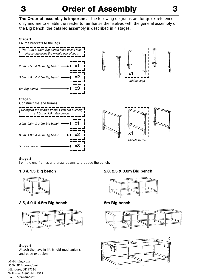# **3 Order of Assembly 3**

**The Order of assembly is important** – the following diagrams are for quick reference only and are to enable the reader to familiarise themselves with the general assembly of the Big bench, the detailed assembly is described in 4 stages.

## **Stage 1**

Fix the brackets to the legs.



### **Stage 3**

Join the end frames and cross beams to produce the bench.



## **3.5, 4.0 & 4.5m Big bench 5m Big bench**



## **Stage 4**

Attach the Javelin lift & hold mechanisms and base extrusion.

[MyBinding.com](http://www.mybinding.com) 5500 NE Moore Court Hillsboro, OR 97124 Toll Free: 1-800-944-4573 Local: 503-640-5920

## **1.0 & 1.5 Big bench 2.0, 2.5 & 3.0m Big bench**





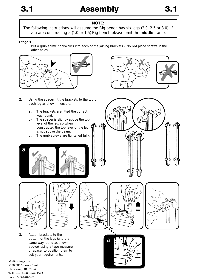## **NOTE:**

The following instructions will assume the Big bench has six legs (2.0, 2.5 or 3.0). If you are constructing a (1.0 or 1.5) Big bench please omit the **middle** frame.

## **Stage 1**<br>1.

1. Put a grub screw backwards into each of the joining brackets – **do not** place screws in the other holes.



- 2. Using the spacer, fit the brackets to the top of each leg as shown – ensure:
	- a). The brackets are fitted the correct way round.
	- b). The spacer is slightly above the top level of the leg, so when constructed the top level of the leg is not above the beam.
	- c). The grub screws are tightened fully.











3. Attach brackets to the bottom of the legs (and the same way round as shown above), using a tape measure or spacer to position them to suit your requirements.

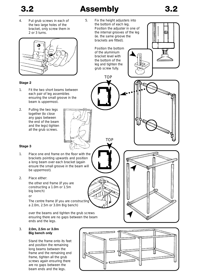# **3.2 Assembly 3.2**

**TOP** 

TOP

the bottom of the leg and tighten the grub screw fully.

4. Put grub screws in each of the two large holes of the bracket, only screw them in 2 or 3 turns.



## **Stage 2**

- 1. Fit the two short beams between each pair of leg assemblies ensuring the small groove in the beam is uppermost.
- 2. Pulling the two legs together (to close any gaps between the end of the beam and the legs) tighten all the grub screws.

5. Fix the height adjusters into the bottom of each leg. Position the adjuster in one of the internal grooves of the leg (ie. the same groove the brackets are fitted). Position the bottom of the aluminium bracket level with





## **Stage 3**

- 1. Place one end frame on the floor with the brackets pointing upwards and position a long beam over each bracket (again ensure the small groove in the beam will be uppermost).
- 2. Place either:

the other end frame (if you are constructing a 1.0m or 1.5m big bench)

or

The centre frame (if you are constructing a 2.0m, 2.5m or 3.0m Big bench)

over the beams and tighten the grub screws ensuring there are no gaps between the beam ends and the legs.

### 3. **2.0m, 2.5m or 3.0m Big bench only**

Stand the frame onto its feet and position the remaining long beams between the frame and the remaining end frame, tighten all the grub screws again ensuring there are no gaps between the beam ends and the legs.

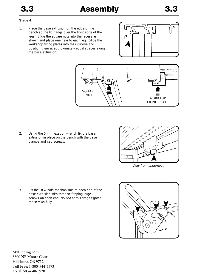## **Stage 4**

1. Place the base extrusion on the edge of the bench so the lip hangs over the front edge of the legs. Slide the square nuts into the recess as shown and place one near to each leg. Slide the workshop fixing plates into their groove and position them at approximately equal spaces along the base extrusion.





2. Using the 5mm hexagon wrench fix the base extrusion in place on the bench with the base clamps and cap screws.



3. Fix the lift & hold mechanisms to each end of the base extrusion with three self taping large screws on each end, **do not** at this stage tighten the screws fully.

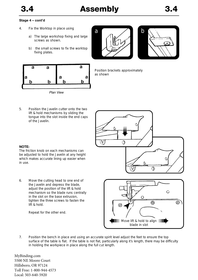# **3.4 Assembly 3.4**

## **Stage 4 – cont'd**

- 4. Fix the Worktop in place using
	- a) The large workshop fixing and large screws as shown.
	- b) the small screws to fix the worktop fixing plates.







*Plan View*

Position brackets approximately as shown

5. Position the Javelin cutter onto the two lift & hold mechanisms by sliding the tongue into the slot inside the end caps of the Javelin.



## **NOTE:**

The friction knob on each mechanisms can be adjusted to hold the Javelin at any height which makes accurate lining up easier when in use.

6. Move the cutting head to one end of the Javelin and depress the blade, adjust the position of the lift & hold mechanism so the blade runs centrally in the slot on the base extrusion, tighten the three screws to fasten the lift & hold.

Repeat for the other end.



7. Position the bench in place and using an accurate spirit level adjust the feet to ensure the top surface of the table is flat. If the table is not flat, particularly along it's length, there may be difficulty in holding the workpiece in place along the full cut length.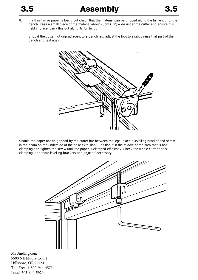8. If a thin film or paper is being cut check that the material can be gripped along the full length of the bench. Pass a small piece of the material about 25cm (10") wide under the cutter and ensure it is held in place, carry this out along its full length.

Should the cutter not grip adjacent to a bench leg, adjust the foot to slightly raise that part of the bench and test again.



Should the paper not be gripped by the cutter bar between the legs, place a levelling bracket and screw in the beam on the underside of the base extrusion. Position it in the middle of the area that is not clamping and tighten the screw until the paper is clamped efficiently. Check the whole cutter bar is clamping, add more levelling brackets and adjust if necessary.